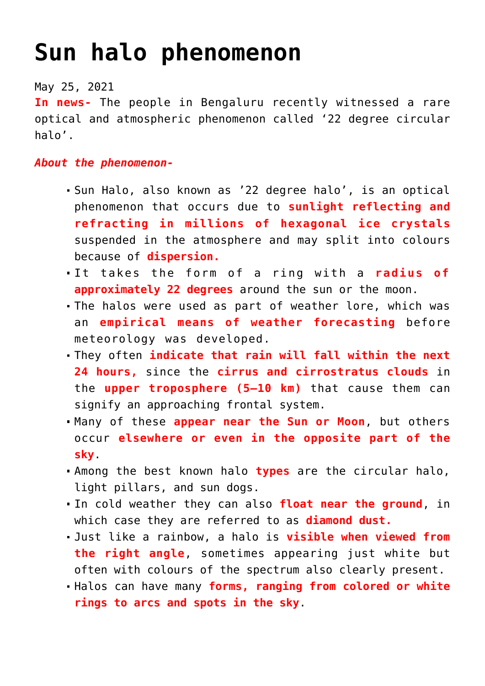## **[Sun halo phenomenon](https://journalsofindia.com/sun-halo-phenomenon/)**

May 25, 2021

**In news-** The people in Bengaluru recently witnessed a rare optical and atmospheric phenomenon called '22 degree circular halo'.

## *About the phenomenon-*

- Sun Halo, also known as '22 degree halo', is an optical phenomenon that occurs due to **sunlight reflecting and refracting in millions of hexagonal ice crystals** suspended in the atmosphere and may split into colours because of **dispersion.**
- It takes the form of a ring with a **radius of approximately 22 degrees** around the sun or the moon.
- The halos were used as part of weather lore, which was an **empirical means of weather forecasting** before meteorology was developed.
- They often **indicate that rain will fall within the next 24 hours,** since the **cirrus and cirrostratus clouds** in the **upper troposphere (5–10 km)** that cause them can signify an approaching frontal system.
- Many of these **appear near the Sun or Moon**, but others occur **elsewhere or even in the opposite part of the sky**.
- Among the best known halo **types** are the circular halo, light pillars, and sun dogs.
- In cold weather they can also **float near the ground**, in which case they are referred to as **diamond dust.**
- Just like a rainbow, a halo is **visible when viewed from the right angle**, sometimes appearing just white but often with colours of the spectrum also clearly present.
- Halos can have many **forms, ranging from colored or white rings to arcs and spots in the sky**.